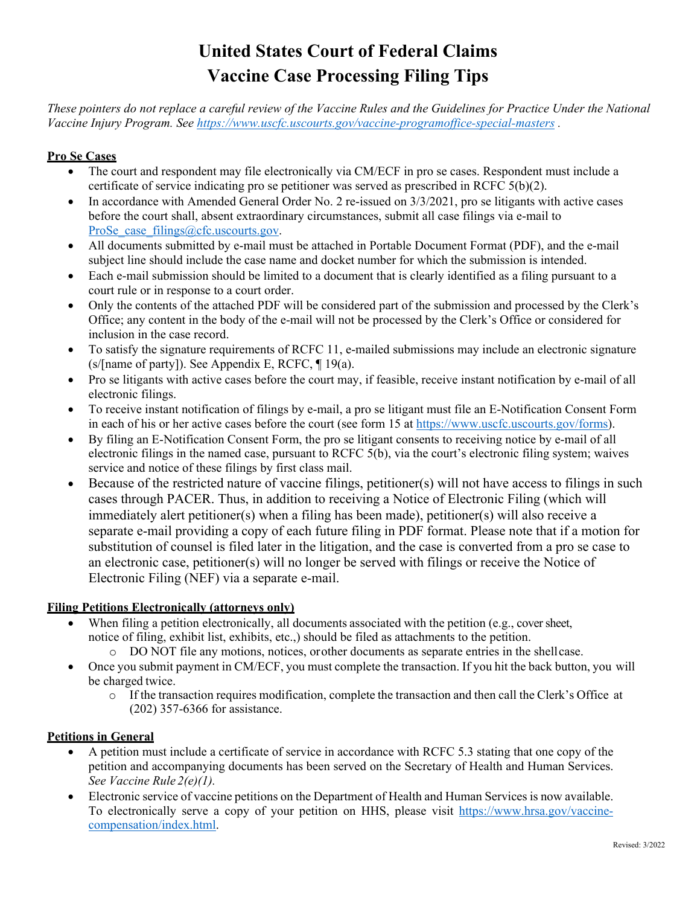# **United States Court of Federal Claims Vaccine Case Processing Filing Tips**

*These pointers do not replace a careful review of the Vaccine Rules and the Guidelines for Practice Under the National Vaccine Injury Program. See<https://www.uscfc.uscourts.gov/vaccine-programoffice-special-masters> .* 

# **Pro Se Cases**

- The court and respondent may file electronically via CM/ECF in pro se cases. Respondent must include a certificate of service indicating pro se petitioner was served as prescribed in RCFC 5(b)(2).
- In accordance with Amended General Order No. 2 re-issued on 3/3/2021, pro se litigants with active cases before the court shall, absent extraordinary circumstances, submit all case filings via e-mail to ProSe case filings@cfc.uscourts.gov.
- All documents submitted by e-mail must be attached in Portable Document Format (PDF), and the e-mail subject line should include the case name and docket number for which the submission is intended.
- Each e-mail submission should be limited to a document that is clearly identified as a filing pursuant to a court rule or in response to a court order.
- Only the contents of the attached PDF will be considered part of the submission and processed by the Clerk's Office; any content in the body of the e-mail will not be processed by the Clerk's Office or considered for inclusion in the case record.
- To satisfy the signature requirements of RCFC 11, e-mailed submissions may include an electronic signature (s/[name of party]). See Appendix E, RCFC, ¶ 19(a).
- Pro se litigants with active cases before the court may, if feasible, receive instant notification by e-mail of all electronic filings.
- To receive instant notification of filings by e-mail, a pro se litigant must file an E-Notification Consent Form in each of his or her active cases before the court (see form 15 at [https://www.uscfc.uscourts.gov/forms\)](https://www.uscfc.uscourts.gov/forms).
- By filing an E-Notification Consent Form, the pro se litigant consents to receiving notice by e-mail of all electronic filings in the named case, pursuant to RCFC 5(b), via the court's electronic filing system; waives service and notice of these filings by first class mail.
- Because of the restricted nature of vaccine filings, petitioner(s) will not have access to filings in such cases through PACER. Thus, in addition to receiving a Notice of Electronic Filing (which will immediately alert petitioner(s) when a filing has been made), petitioner(s) will also receive a separate e-mail providing a copy of each future filing in PDF format. Please note that if a motion for substitution of counsel is filed later in the litigation, and the case is converted from a pro se case to an electronic case, petitioner(s) will no longer be served with filings or receive the Notice of Electronic Filing (NEF) via a separate e-mail.

# **Filing Petitions Electronically (attorneys only)**

- When filing a petition electronically, all documents associated with the petition (e.g., cover sheet, notice of filing, exhibit list, exhibits, etc.,) should be filed as attachments to the petition.
	- o DO NOT file any motions, notices, orother documents as separate entries in the shellcase.
- Once you submit payment in CM/ECF, you must complete the transaction. If you hit the back button, you will be charged twice.
	- o If the transaction requires modification, complete the transaction and then call the Clerk's Office at (202) 357-6366 for assistance.

#### **Petitions in General**

- A petition must include a certificate of service in accordance with RCFC 5.3 stating that one copy of the petition and accompanying documents has been served on the Secretary of Health and Human Services. *See Vaccine Rule 2(e)(1).*
- Electronic service of vaccine petitions on the Department of Health and Human Services is now available. To electronically serve a copy of your petition on HHS, please visit [https://www.hrsa.gov/vaccine](https://www.hrsa.gov/vaccine-compensation/index.html)[compensation/index.html.](https://www.hrsa.gov/vaccine-compensation/index.html)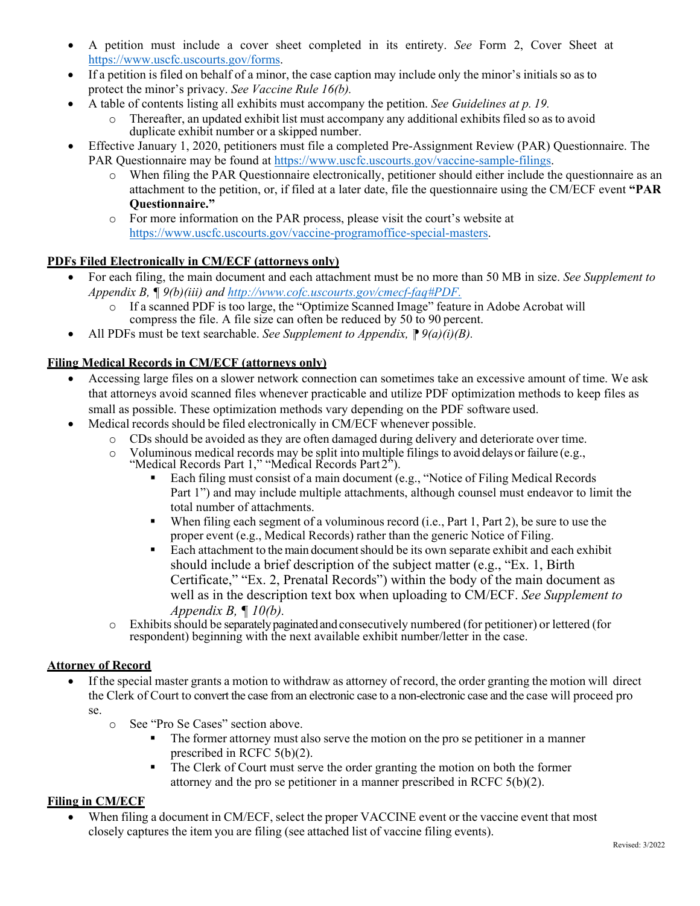- A petition must include a cover sheet completed in its entirety. *See* Form 2, Cover Sheet at [https://www.uscfc.uscourts.gov/forms.](https://www.uscfc.uscourts.gov/forms)
- If a petition is filed on behalf of a minor, the case caption may include only the minor's initials so as to protect the minor's privacy. *See Vaccine Rule 16(b).*
- A table of contents listing all exhibits must accompany the petition. *See Guidelines at p. 19.*
	- o Thereafter, an updated exhibit list must accompany any additional exhibits filed so as to avoid duplicate exhibit number or a skipped number.
- Effective January 1, 2020, petitioners must file a completed Pre-Assignment Review (PAR) Questionnaire. The PAR Questionnaire may be found at [https://www.uscfc.uscourts.gov/vaccine-sample-filings.](https://www.uscfc.uscourts.gov/vaccine-sample-filings)
	- o When filing the PAR Questionnaire electronically, petitioner should either include the questionnaire as an attachment to the petition, or, if filed at a later date, file the questionnaire using the CM/ECF event **"PAR Questionnaire."**
	- o For more information on the PAR process, please visit the court's website at [https://www.uscfc.uscourts.gov/vaccine-programoffice-special-masters.](https://www.uscfc.uscourts.gov/vaccine-programoffice-special-masters)

# **PDFs Filed Electronically in CM/ECF (attorneys only)**

- For each filing, the main document and each attachment must be no more than 50 MB in size. *See Supplement to Appendix B, ¶ 9(b)(iii) and <http://www.cofc.uscourts.gov/cmecf-faq#PDF.>*
	- o If a scanned PDF is too large, the "Optimize Scanned Image" feature in Adobe Acrobat will compress the file. A file size can often be reduced by 50 to 90 percent.
- All PDFs must be text searchable. *See Supplement to Appendix*,  $\mathbb{P} \mathcal{Q}(a)(i)(B)$ .

# **Filing Medical Records in CM/ECF (attorneys only)**

- Accessing large files on a slower network connection can sometimes take an excessive amount of time. We ask that attorneys avoid scanned files whenever practicable and utilize PDF optimization methods to keep files as small as possible. These optimization methods vary depending on the PDF software used.
- Medical records should be filed electronically in CM/ECF whenever possible.
	- $\circ$  CDs should be avoided as they are often damaged during delivery and deteriorate over time.<br>  $\circ$  Voluminous medical records may be split into multiple filings to avoid delays or failure (e.g.,
	- Voluminous medical records may be split into multiple filings to avoid delays or failure (e.g.,
	- "Medical Records Part 1," "Medical Records Part 2").
		- Each filing must consist of a main document (e.g., "Notice of Filing Medical Records Part 1") and may include multiple attachments, although counsel must endeavor to limit the total number of attachments.
		- When filing each segment of a voluminous record (i.e., Part 1, Part 2), be sure to use the proper event (e.g., Medical Records) rather than the generic Notice of Filing.
		- Each attachment to themain documentshould be its own separate exhibit and each exhibit should include a brief description of the subject matter (e.g., "Ex. 1, Birth Certificate," "Ex. 2, Prenatal Records") within the body of the main document as well as in the description text box when uploading to CM/ECF. *See Supplement to Appendix B, ¶ 10(b).*
	- o Exhibitsshould be separatelypaginatedand consecutively numbered (for petitioner) or lettered (for respondent) beginning with the next available exhibit number/letter in the case.

#### **Attorney of Record**

- If the special master grants a motion to withdraw as attorney of record, the order granting the motion will direct the Clerk of Court to convert the case from an electronic case to a non-electronic case and the case will proceed pro se.
	- o See "Pro Se Cases" section above.
		- The former attorney must also serve the motion on the pro se petitioner in a manner prescribed in RCFC 5(b)(2).
		- The Clerk of Court must serve the order granting the motion on both the former attorney and the pro se petitioner in a manner prescribed in RCFC 5(b)(2).

# **Filing in CM/ECF**

• When filing a document in CM/ECF, select the proper VACCINE event or the vaccine event that most closely captures the item you are filing (see attached list of vaccine filing events).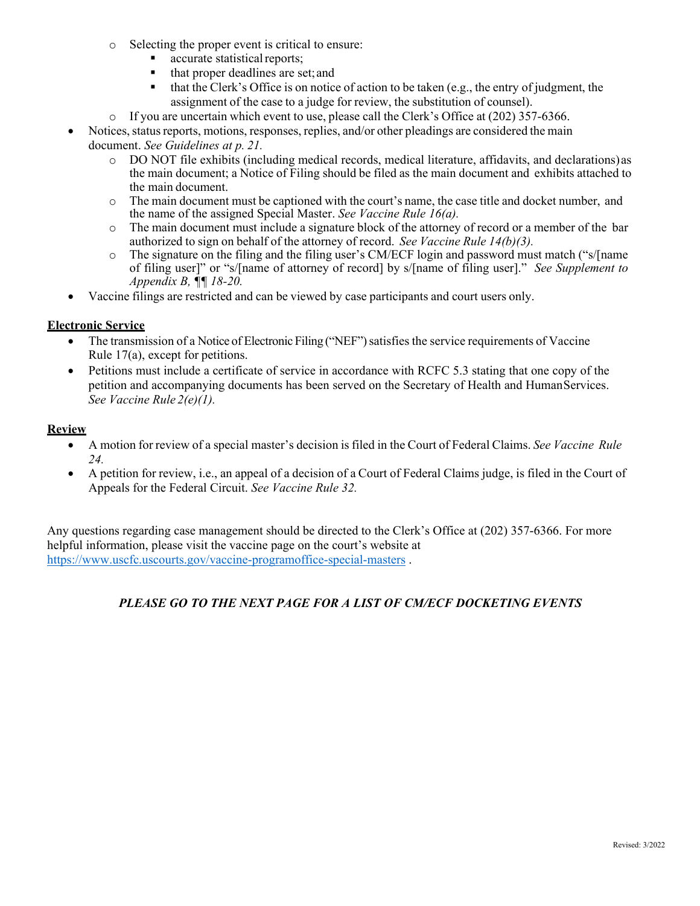- o Selecting the proper event is critical to ensure:
	- accurate statistical reports;
	- that proper deadlines are set;and
	- $\blacksquare$  that the Clerk's Office is on notice of action to be taken (e.g., the entry of judgment, the assignment of the case to a judge for review, the substitution of counsel).
- $\circ$  If you are uncertain which event to use, please call the Clerk's Office at (202) 357-6366.
- Notices, status reports, motions, responses, replies, and/or other pleadings are considered the main document. *See Guidelines at p. 21.*
	- o DO NOT file exhibits (including medical records, medical literature, affidavits, and declarations)as the main document; a Notice of Filing should be filed as the main document and exhibits attached to the main document.
	- o The main document must be captioned with the court's name, the case title and docket number, and the name of the assigned Special Master. *See Vaccine Rule 16(a).*
	- o The main document must include a signature block of the attorney of record or a member of the bar authorized to sign on behalf of the attorney of record. *See Vaccine Rule 14(b)(3).*
	- o The signature on the filing and the filing user's CM/ECF login and password must match ("s/[name of filing user]" or "s/[name of attorney of record] by s/[name of filing user]." *See Supplement to Appendix B, ¶¶ 18-20.*
- Vaccine filings are restricted and can be viewed by case participants and court users only.

### **Electronic Service**

- The transmission of a Notice of Electronic Filing ("NEF") satisfies the service requirements of Vaccine Rule 17(a), except for petitions.
- Petitions must include a certificate of service in accordance with RCFC 5.3 stating that one copy of the petition and accompanying documents has been served on the Secretary of Health and Human Services. *See Vaccine Rule 2(e)(1).*

#### **Review**

- A motion for review of a special master's decision is filed in the Court of Federal Claims. *See Vaccine Rule 24.*
- A petition for review, i.e., an appeal of a decision of a Court of Federal Claims judge, is filed in the Court of Appeals for the Federal Circuit. *See Vaccine Rule 32.*

Any questions regarding case management should be directed to the Clerk's Office at (202) 357-6366. For more helpful information, please visit the vaccine page on the court's website at <https://www.uscfc.uscourts.gov/vaccine-programoffice-special-masters> .

# *PLEASE GO TO THE NEXT PAGE FOR A LIST OF CM/ECF DOCKETING EVENTS*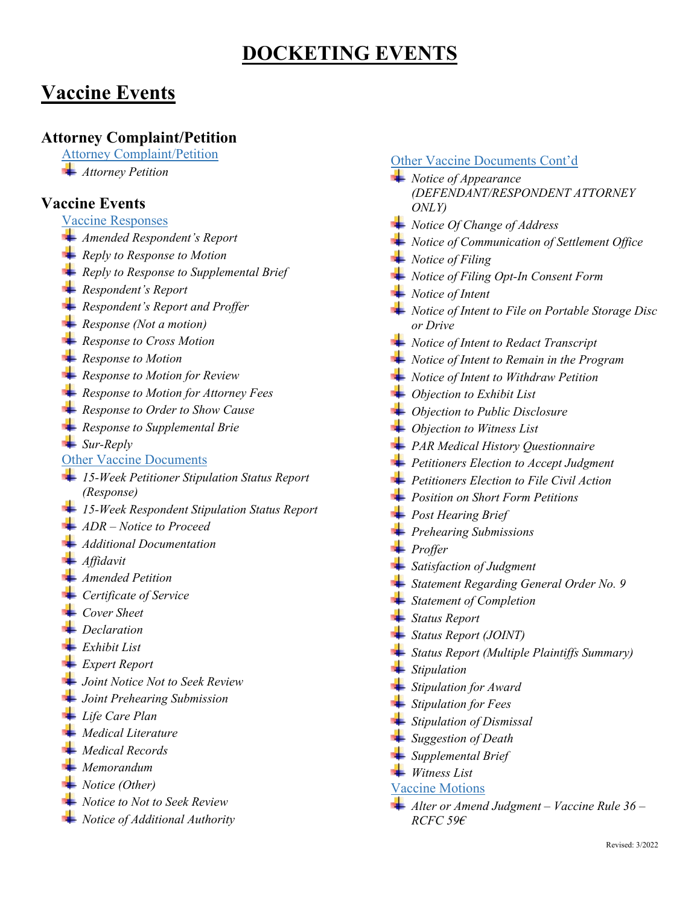# **DOCKETING EVENTS**

# **Vaccine Events**

# **Attorney Complaint/Petition**

Attorney Complaint/Petition

*Attorney Petition* 

# **Vaccine Events**

- Vaccine Responses
- *Amended Respondent's Report*
- *Reply to Response to Motion*
- *Reply to Response to Supplemental Brief*
- *Respondent's Report*
- *Respondent's Report and Proffer*
- *Response (Not a motion)*
- *Response to Cross Motion*
- *Response to Motion*
- *Response to Motion for Review*
- *Response to Motion for Attorney Fees*
- *Response to Order to Show Cause*
- *Response to Supplemental Brie*
- *Sur-Reply*
- Other Vaccine Documents
- *15-Week Petitioner Stipulation Status Report (Response)*
- *15-Week Respondent Stipulation Status Report*
- *ADR – Notice to Proceed*
- *Additional Documentation*
- *Affidavit*
- *Amended Petition*
- *Certificate of Service*
- *Cover Sheet*
- *Declaration*
- *Exhibit List*
- *Expert Report*
- *Joint Notice Not to Seek Review*
- *Joint Prehearing Submission*
- *Life Care Plan*
- *Medical Literature*
- *Medical Records*
- *Memorandum*
- *Notice (Other)*
- *Notice to Not to Seek Review*
- *Notice of Additional Authority*

### Other Vaccine Documents Cont'd

- *Notice of Appearance (DEFENDANT/RESPONDENT ATTORNEY ONLY) Notice Of Change of Address Notice of Communication of Settlement Office Notice of Filing Notice of Filing Opt-In Consent Form Notice of Intent Notice of Intent to File on Portable Storage Disc or Drive Notice of Intent to Redact Transcript Notice of Intent to Remain in the Program Notice of Intent to Withdraw Petition Objection to Exhibit List Objection to Public Disclosure Objection to Witness List PAR Medical History Questionnaire Petitioners Election to Accept Judgment Petitioners Election to File Civil Action Position on Short Form Petitions Post Hearing Brief Prehearing Submissions Proffer Satisfaction of Judgment Statement Regarding General Order No. 9 Statement of Completion Status Report Status Report (JOINT) Status Report (Multiple Plaintiffs Summary) Stipulation Stipulation for Award Stipulation for Fees Stipulation of Dismissal Suggestion of Death Supplemental Brief*
- *Witness List* Vaccine Motions
- 
- *Alter or Amend Judgment – Vaccine Rule 36 – RCFC 59€*